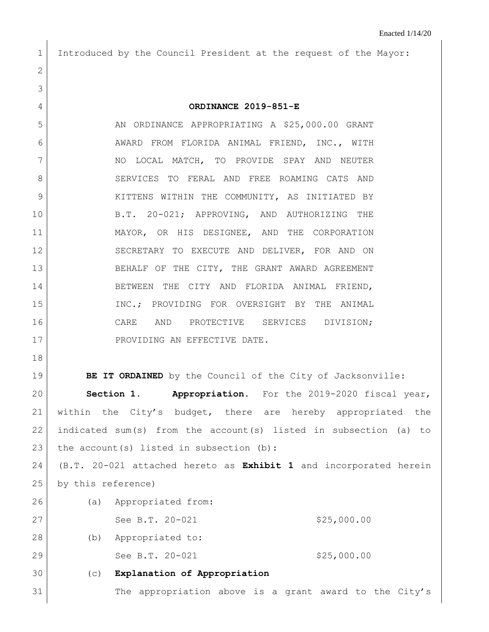1 Introduced by the Council President at the request of the Mayor:

## 4 **ORDINANCE 2019-851-E**

5 AN ORDINANCE APPROPRIATING A \$25,000.00 GRANT 6 AWARD FROM FLORIDA ANIMAL FRIEND, INC., WITH 7 NO LOCAL MATCH, TO PROVIDE SPAY AND NEUTER 8 SERVICES TO FERAL AND FREE ROAMING CATS AND 9 KITTENS WITHIN THE COMMUNITY, AS INITIATED BY 10 B.T. 20-021; APPROVING, AND AUTHORIZING THE 11 MAYOR, OR HIS DESIGNEE, AND THE CORPORATION 12 SECRETARY TO EXECUTE AND DELIVER, FOR AND ON 13 BEHALF OF THE CITY, THE GRANT AWARD AGREEMENT 14 BETWEEN THE CITY AND FLORIDA ANIMAL FRIEND, 15 INC.; PROVIDING FOR OVERSIGHT BY THE ANIMAL 16 CARE AND PROTECTIVE SERVICES DIVISION; 17 PROVIDING AN EFFECTIVE DATE.

18

2

3

**BE IT ORDAINED** by the Council of the City of Jacksonville: **Section 1. Appropriation.** For the 2019-2020 fiscal year, within the City's budget, there are hereby appropriated the indicated sum(s) from the account(s) listed in subsection (a) to 23 the account(s) listed in subsection  $(b)$ :

24 (B.T. 20-021 attached hereto as **Exhibit 1** and incorporated herein 25 by this reference)

- 26 (a) Appropriated from: 27 See B.T. 20-021 \$25,000.00 28 (b) Appropriated to: 29 See B.T. 20-021 \$25,000.00
- 30 (c) **Explanation of Appropriation** 31 The appropriation above is a grant award to the City's